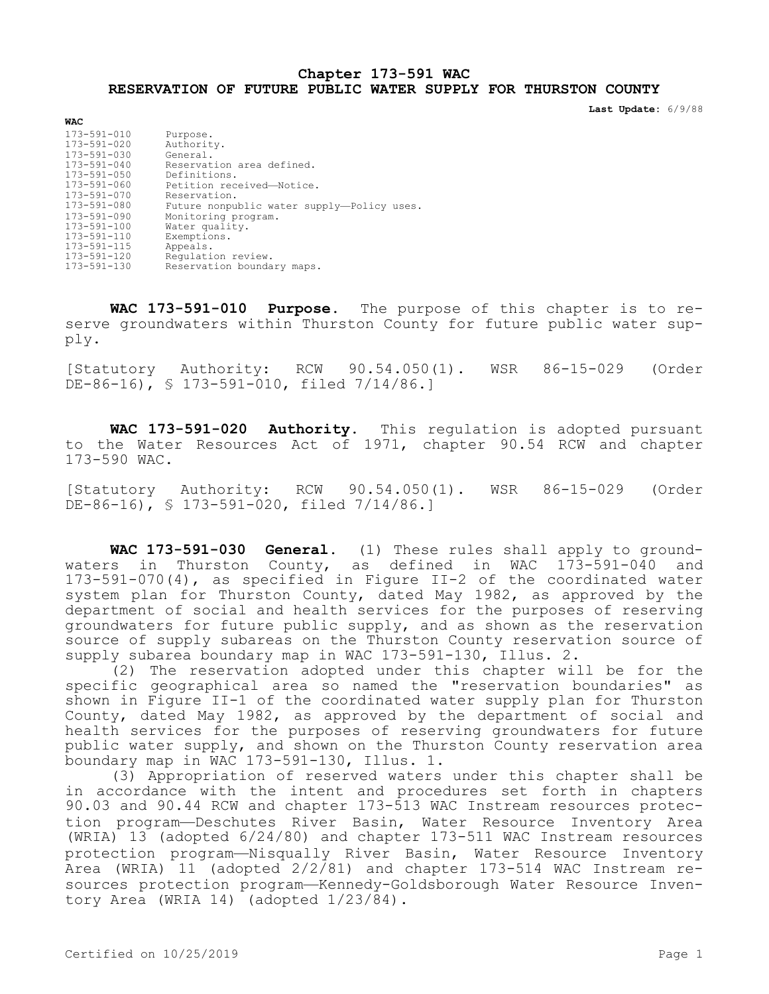## **Chapter 173-591 WAC RESERVATION OF FUTURE PUBLIC WATER SUPPLY FOR THURSTON COUNTY**

**Last Update:** 6/9/88

| <b>WAC</b>        |                                            |
|-------------------|--------------------------------------------|
| 173-591-010       | Purpose.                                   |
| $173 - 591 - 020$ | Authority.                                 |
| 173-591-030       | General.                                   |
| $173 - 591 - 040$ | Reservation area defined.                  |
| 173-591-050       | Definitions.                               |
| 173-591-060       | Petition received-Notice.                  |
| $173 - 591 - 070$ | Reservation.                               |
| 173-591-080       | Future nonpublic water supply-Policy uses. |
| $173 - 591 - 090$ | Monitoring program.                        |
| $173 - 591 - 100$ | Water quality.                             |
| 173-591-110       | Exemptions.                                |
| $173 - 591 - 115$ | Appeals.                                   |
| 173-591-120       | Requlation review.                         |
| 173-591-130       | Reservation boundary maps.                 |

**WAC 173-591-010 Purpose.** The purpose of this chapter is to reserve groundwaters within Thurston County for future public water supply.

[Statutory Authority: RCW 90.54.050(1). WSR 86-15-029 (Order  $DE-86-16$ , § 173-591-010, filed  $7/14/86$ .]

**WAC 173-591-020 Authority.** This regulation is adopted pursuant to the Water Resources Act of 1971, chapter 90.54 RCW and chapter 173-590 WAC.

[Statutory Authority: RCW 90.54.050(1). WSR 86-15-029 (Order DE-86-16), § 173-591-020, filed 7/14/86.]

**WAC 173-591-030 General.** (1) These rules shall apply to groundwaters in Thurston County, as defined in WAC  $1\overline{7}3-\overline{5}91-0\overline{4}0$  and 173-591-070(4), as specified in Figure II-2 of the coordinated water system plan for Thurston County, dated May 1982, as approved by the department of social and health services for the purposes of reserving groundwaters for future public supply, and as shown as the reservation source of supply subareas on the Thurston County reservation source of supply subarea boundary map in WAC 173-591-130, Illus. 2.

(2) The reservation adopted under this chapter will be for the specific geographical area so named the "reservation boundaries" as shown in Figure II-1 of the coordinated water supply plan for Thurston County, dated May 1982, as approved by the department of social and health services for the purposes of reserving groundwaters for future public water supply, and shown on the Thurston County reservation area boundary map in WAC 173-591-130, Illus. 1.

(3) Appropriation of reserved waters under this chapter shall be in accordance with the intent and procedures set forth in chapters 90.03 and 90.44 RCW and chapter 173-513 WAC Instream resources protection program—Deschutes River Basin, Water Resource Inventory Area (WRIA) 13 (adopted 6/24/80) and chapter 173-511 WAC Instream resources protection program—Nisqually River Basin, Water Resource Inventory Area (WRIA) 11 (adopted 2/2/81) and chapter 173-514 WAC Instream resources protection program—Kennedy-Goldsborough Water Resource Inventory Area (WRIA 14) (adopted 1/23/84).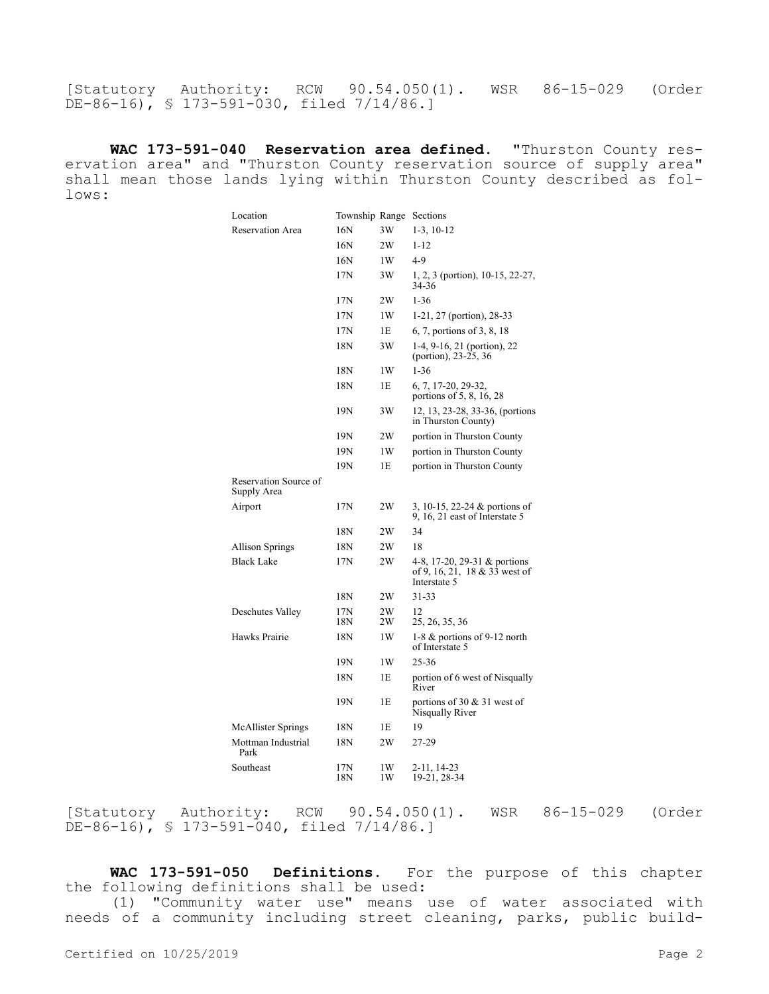[Statutory Authority: RCW 90.54.050(1). WSR 86-15-029 (Order DE-86-16), § 173-591-030, filed 7/14/86.]

**WAC 173-591-040 Reservation area defined.** "Thurston County reservation area" and "Thurston County reservation source of supply area" shall mean those lands lying within Thurston County described as follows:

| Location                             | Township Range Sections |          |                                                                               |
|--------------------------------------|-------------------------|----------|-------------------------------------------------------------------------------|
| <b>Reservation Area</b>              | 16N                     | 3W       | $1-3$ , $10-12$                                                               |
|                                      | 16N                     | 2W       | $1 - 12$                                                                      |
|                                      | 16N                     | 1W       | $4-9$                                                                         |
|                                      | 17N                     | 3W       | 1, 2, 3 (portion), 10-15, 22-27,<br>34-36                                     |
|                                      | 17N                     | 2W       | $1 - 36$                                                                      |
|                                      | 17N                     | 1W       | 1-21, 27 (portion), 28-33                                                     |
|                                      | 17N                     | 1E       | 6, 7, portions of 3, 8, 18                                                    |
|                                      | 18N                     | 3W       | 1-4, 9-16, 21 (portion), 22<br>(portion), 23-25, 36                           |
|                                      | 18N                     | 1W       | $1 - 36$                                                                      |
|                                      | 18N                     | 1E       | 6, 7, 17-20, 29-32,<br>portions of 5, 8, 16, 28                               |
|                                      | 19N                     | 3W       | 12, 13, 23-28, 33-36, (portions<br>in Thurston County)                        |
|                                      | 19N                     | 2W       | portion in Thurston County                                                    |
|                                      | 19N                     | 1W       | portion in Thurston County                                                    |
|                                      | 19N                     | 1E       | portion in Thurston County                                                    |
| Reservation Source of<br>Supply Area |                         |          |                                                                               |
| Airport                              | 17N                     | 2W       | 3, 10-15, 22-24 & portions of<br>9, 16, 21 east of Interstate 5               |
|                                      | 18N                     | 2W       | 34                                                                            |
| <b>Allison Springs</b>               | 18N                     | 2W       | 18                                                                            |
| <b>Black Lake</b>                    | 17N                     | 2W       | 4-8, 17-20, 29-31 & portions<br>of 9, 16, 21, 18 & 33 west of<br>Interstate 5 |
|                                      | 18N                     | 2W       | 31-33                                                                         |
| Deschutes Valley                     | 17N<br>18N              | 2W<br>2W | 12<br>25, 26, 35, 36                                                          |
| Hawks Prairie                        | 18N                     | 1W       | 1-8 & portions of 9-12 north<br>of Interstate 5                               |
|                                      | 19N                     | 1W       | $25 - 36$                                                                     |
|                                      | 18N                     | 1E       | portion of 6 west of Nisqually<br>River                                       |
|                                      | 19N                     | 1E       | portions of 30 $&$ 31 west of<br>Nisqually River                              |
| <b>McAllister Springs</b>            | 18N                     | 1E       | 19                                                                            |
| Mottman Industrial<br>Park           | 18N                     | 2W       | 27-29                                                                         |
| Southeast                            | 17N<br>18N              | 1W<br>1W | 2-11, 14-23<br>19-21, 28-34                                                   |
|                                      |                         |          |                                                                               |

[Statutory Authority: RCW 90.54.050(1). WSR 86-15-029 (Order DE-86-16), § 173-591-040, filed 7/14/86.]

**WAC 173-591-050 Definitions.** For the purpose of this chapter the following definitions shall be used:

(1) "Community water use" means use of water associated with needs of a community including street cleaning, parks, public build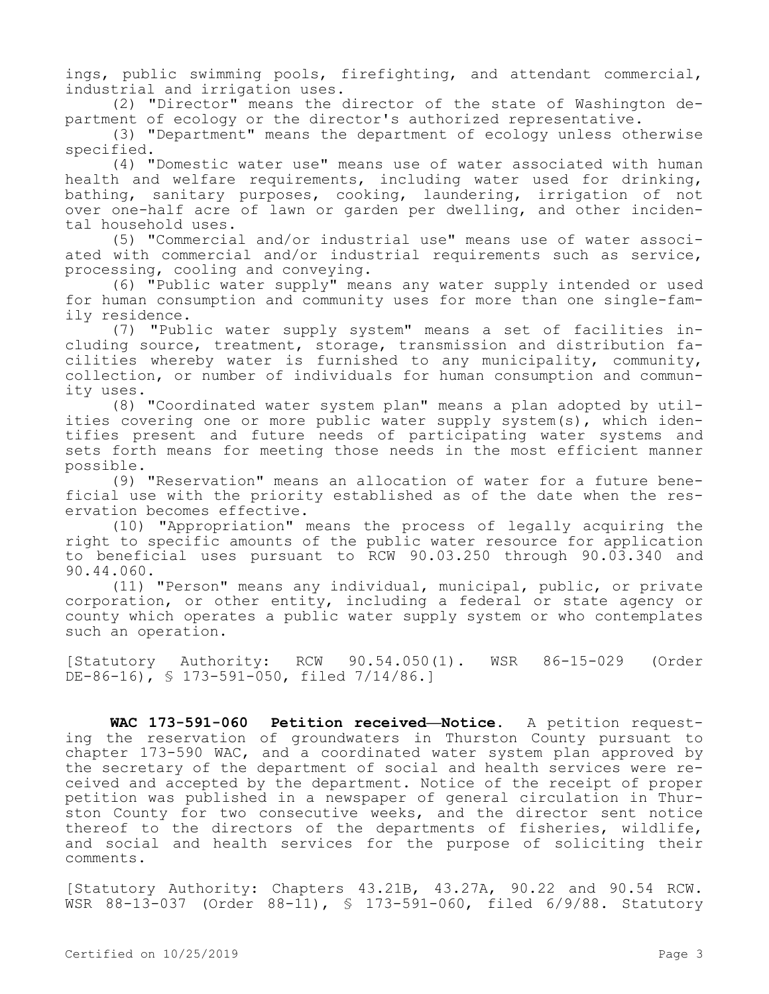ings, public swimming pools, firefighting, and attendant commercial, industrial and irrigation uses.

(2) "Director" means the director of the state of Washington department of ecology or the director's authorized representative.

(3) "Department" means the department of ecology unless otherwise specified.

(4) "Domestic water use" means use of water associated with human health and welfare requirements, including water used for drinking, bathing, sanitary purposes, cooking, laundering, irrigation of not over one-half acre of lawn or garden per dwelling, and other incidental household uses.

(5) "Commercial and/or industrial use" means use of water associated with commercial and/or industrial requirements such as service, processing, cooling and conveying.

(6) "Public water supply" means any water supply intended or used for human consumption and community uses for more than one single-family residence.

(7) "Public water supply system" means a set of facilities including source, treatment, storage, transmission and distribution facilities whereby water is furnished to any municipality, community, collection, or number of individuals for human consumption and community uses.

(8) "Coordinated water system plan" means a plan adopted by utilities covering one or more public water supply system(s), which identifies present and future needs of participating water systems and sets forth means for meeting those needs in the most efficient manner possible.

(9) "Reservation" means an allocation of water for a future beneficial use with the priority established as of the date when the reservation becomes effective.

(10) "Appropriation" means the process of legally acquiring the right to specific amounts of the public water resource for application to beneficial uses pursuant to RCW 90.03.250 through 90.03.340 and 90.44.060.

(11) "Person" means any individual, municipal, public, or private corporation, or other entity, including a federal or state agency or county which operates a public water supply system or who contemplates such an operation.

[Statutory Authority: RCW 90.54.050(1). WSR 86-15-029 (Order  $DE-86-16$ , § 173-591-050, filed 7/14/86.]

**WAC 173-591-060 Petition received—Notice.** A petition requesting the reservation of groundwaters in Thurston County pursuant to chapter 173-590 WAC, and a coordinated water system plan approved by the secretary of the department of social and health services were received and accepted by the department. Notice of the receipt of proper petition was published in a newspaper of general circulation in Thurston County for two consecutive weeks, and the director sent notice thereof to the directors of the departments of fisheries, wildlife, and social and health services for the purpose of soliciting their comments.

[Statutory Authority: Chapters 43.21B, 43.27A, 90.22 and 90.54 RCW. WSR 88-13-037 (Order 88-11), § 173-591-060, filed 6/9/88. Statutory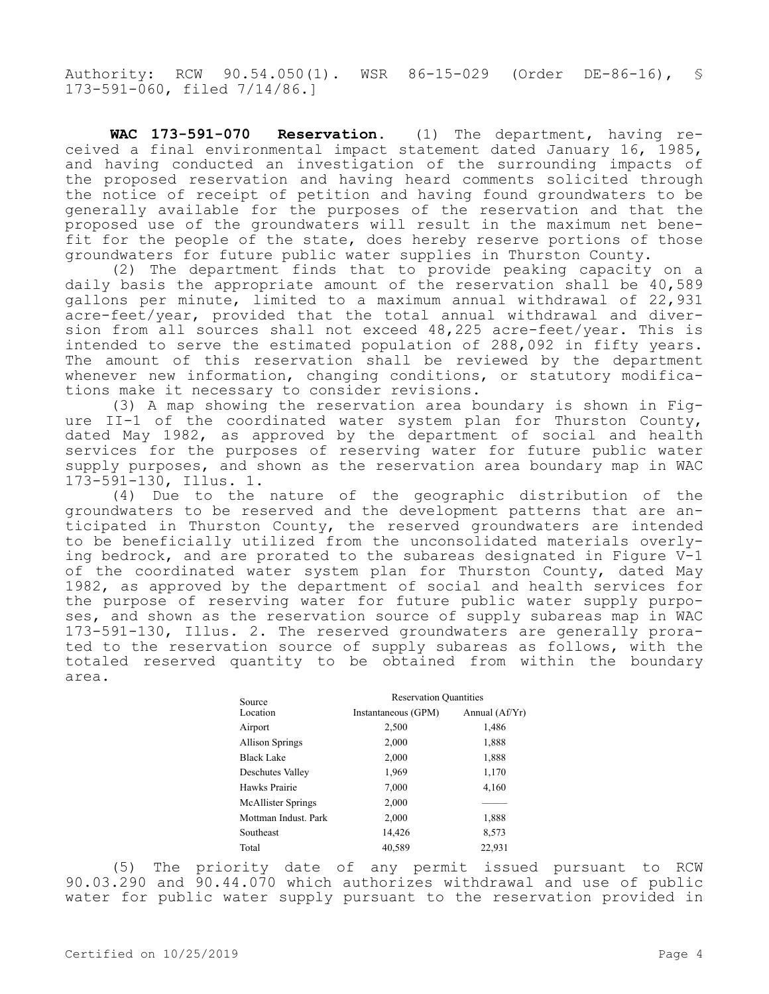Authority: RCW 90.54.050(1). WSR 86-15-029 (Order DE-86-16), § 173-591-060, filed 7/14/86.]

**WAC 173-591-070 Reservation.** (1) The department, having received a final environmental impact statement dated January 16, 1985, and having conducted an investigation of the surrounding impacts of the proposed reservation and having heard comments solicited through the notice of receipt of petition and having found groundwaters to be generally available for the purposes of the reservation and that the proposed use of the groundwaters will result in the maximum net benefit for the people of the state, does hereby reserve portions of those groundwaters for future public water supplies in Thurston County.

(2) The department finds that to provide peaking capacity on a daily basis the appropriate amount of the reservation shall be 40,589 gallons per minute, limited to a maximum annual withdrawal of 22,931 acre-feet/year, provided that the total annual withdrawal and diversion from all sources shall not exceed 48,225 acre-feet/year. This is intended to serve the estimated population of 288,092 in fifty years. The amount of this reservation shall be reviewed by the department whenever new information, changing conditions, or statutory modifications make it necessary to consider revisions.

(3) A map showing the reservation area boundary is shown in Figure II-1 of the coordinated water system plan for Thurston County, dated May 1982, as approved by the department of social and health services for the purposes of reserving water for future public water supply purposes, and shown as the reservation area boundary map in WAC 173-591-130, Illus. 1.

(4) Due to the nature of the geographic distribution of the groundwaters to be reserved and the development patterns that are anticipated in Thurston County, the reserved groundwaters are intended to be beneficially utilized from the unconsolidated materials overlying bedrock, and are prorated to the subareas designated in Figure V-1 of the coordinated water system plan for Thurston County, dated May 1982, as approved by the department of social and health services for the purpose of reserving water for future public water supply purposes, and shown as the reservation source of supply subareas map in WAC 173-591-130, Illus. 2. The reserved groundwaters are generally prorated to the reservation source of supply subareas as follows, with the totaled reserved quantity to be obtained from within the boundary area.

| Source                 | <b>Reservation Quantities</b> |                |  |  |
|------------------------|-------------------------------|----------------|--|--|
| Location               | Instantaneous (GPM)           | Annual (Af/Yr) |  |  |
| Airport                | 2,500                         | 1,486          |  |  |
| <b>Allison Springs</b> | 2,000                         | 1,888          |  |  |
| <b>Black Lake</b>      | 2,000                         | 1,888          |  |  |
| Deschutes Valley       | 1,969                         | 1,170          |  |  |
| Hawks Prairie          | 7,000                         | 4,160          |  |  |
| McAllister Springs     | 2,000                         |                |  |  |
| Mottman Indust. Park   | 2,000                         | 1,888          |  |  |
| Southeast              | 14,426                        | 8,573          |  |  |
| Total                  | 40,589                        | 22,931         |  |  |

(5) The priority date of any permit issued pursuant to RCW 90.03.290 and 90.44.070 which authorizes withdrawal and use of public water for public water supply pursuant to the reservation provided in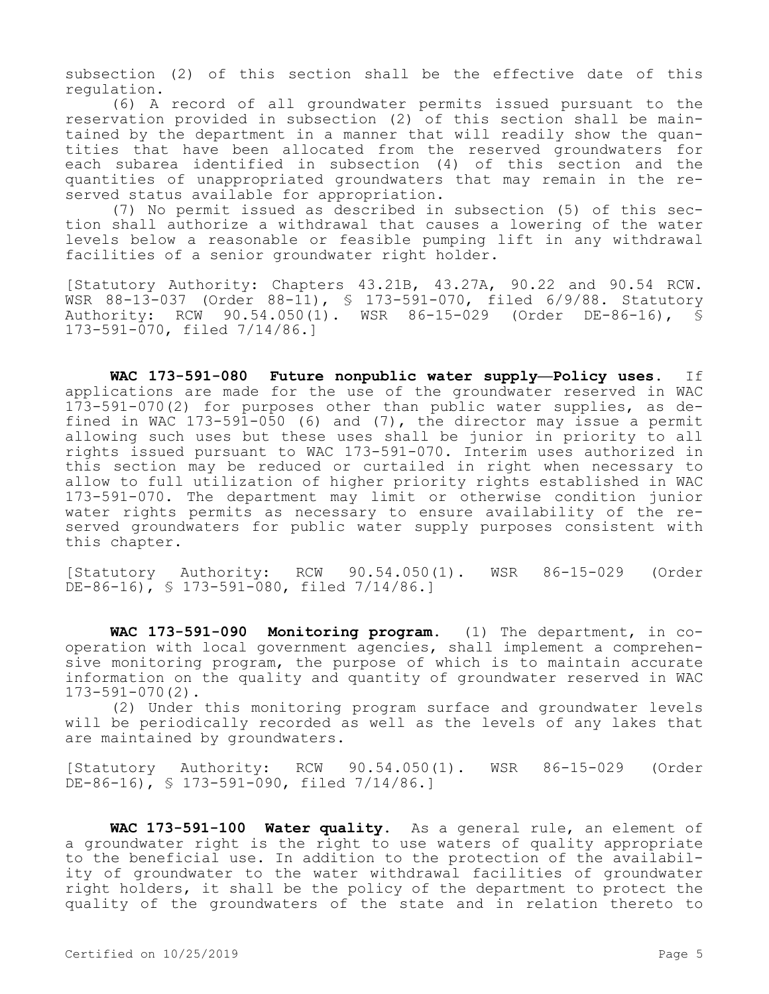subsection (2) of this section shall be the effective date of this regulation.

(6) A record of all groundwater permits issued pursuant to the reservation provided in subsection (2) of this section shall be maintained by the department in a manner that will readily show the quantities that have been allocated from the reserved groundwaters for each subarea identified in subsection (4) of this section and the quantities of unappropriated groundwaters that may remain in the reserved status available for appropriation.

(7) No permit issued as described in subsection (5) of this section shall authorize a withdrawal that causes a lowering of the water levels below a reasonable or feasible pumping lift in any withdrawal facilities of a senior groundwater right holder.

[Statutory Authority: Chapters 43.21B, 43.27A, 90.22 and 90.54 RCW. WSR 88-13-037 (Order 88-11), § 173-591-070, filed 6/9/88. Statutory Authority: RCW 90.54.050(1). WSR 86-15-029 (Order DE-86-16), § 173-591-070, filed 7/14/86.]

**WAC 173-591-080 Future nonpublic water supply—Policy uses.** If applications are made for the use of the groundwater reserved in WAC 173-591-070(2) for purposes other than public water supplies, as defined in WAC 173-591-050 (6) and (7), the director may issue a permit allowing such uses but these uses shall be junior in priority to all rights issued pursuant to WAC 173-591-070. Interim uses authorized in this section may be reduced or curtailed in right when necessary to allow to full utilization of higher priority rights established in WAC 173-591-070. The department may limit or otherwise condition junior water rights permits as necessary to ensure availability of the reserved groundwaters for public water supply purposes consistent with this chapter.

[Statutory Authority: RCW 90.54.050(1). WSR 86-15-029 (Order DE-86-16), § 173-591-080, filed 7/14/86.]

**WAC 173-591-090 Monitoring program.** (1) The department, in cooperation with local government agencies, shall implement a comprehensive monitoring program, the purpose of which is to maintain accurate information on the quality and quantity of groundwater reserved in WAC 173-591-070(2).

(2) Under this monitoring program surface and groundwater levels will be periodically recorded as well as the levels of any lakes that are maintained by groundwaters.

[Statutory Authority: RCW 90.54.050(1). WSR 86-15-029 (Order DE-86-16), § 173-591-090, filed 7/14/86.]

**WAC 173-591-100 Water quality.** As a general rule, an element of a groundwater right is the right to use waters of quality appropriate to the beneficial use. In addition to the protection of the availability of groundwater to the water withdrawal facilities of groundwater right holders, it shall be the policy of the department to protect the quality of the groundwaters of the state and in relation thereto to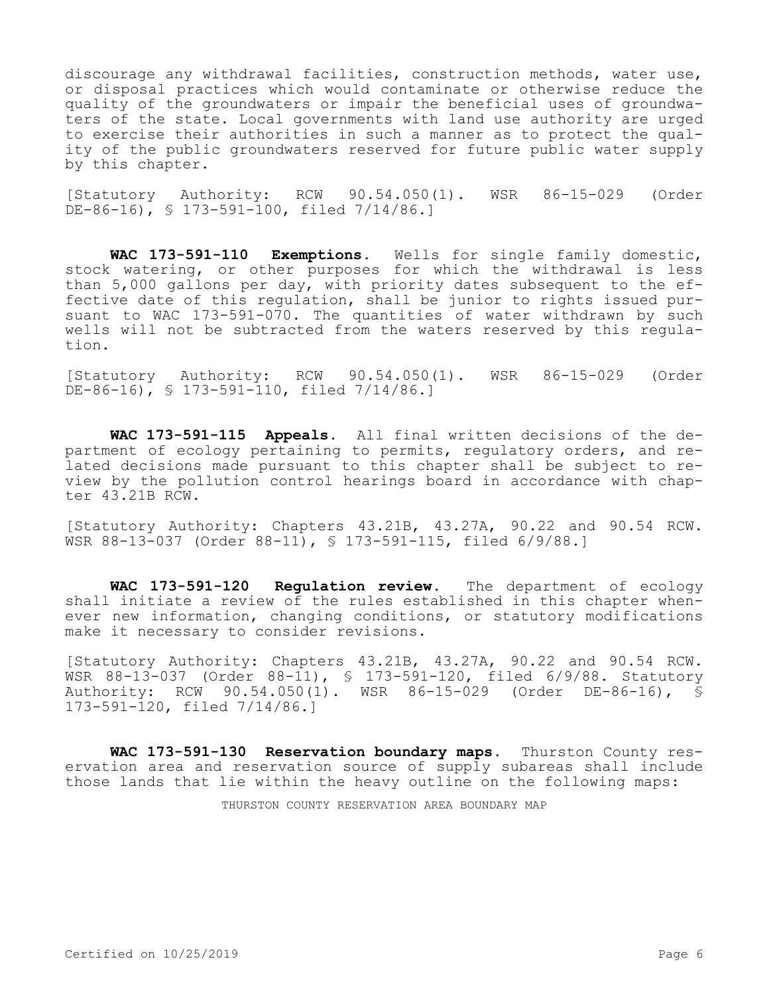discourage any withdrawal facilities, construction methods, water use, or disposal practices which would contaminate or otherwise reduce the quality of the groundwaters or impair the beneficial uses of groundwaters of the state. Local governments with land use authority are urged to exercise their authorities in such a manner as to protect the quality of the public groundwaters reserved for future public water supply by this chapter.

[Statutory Authority: RCW 90.54.050(1). WSR 86-15-029 (Order DE-86-16), § 173-591-100, filed 7/14/86.1

**WAC 173-591-110 Exemptions.** Wells for single family domestic, stock watering, or other purposes for which the withdrawal is less than 5,000 gallons per day, with priority dates subsequent to the effective date of this regulation, shall be junior to rights issued pursuant to WAC 173-591-070. The quantities of water withdrawn by such wells will not be subtracted from the waters reserved by this regulation.

[Statutory Authority: RCW 90.54.050(1). WSR 86-15-029 (Order  $DE-86-16$ , § 173-591-110, filed 7/14/86.1

**WAC 173-591-115 Appeals.** All final written decisions of the department of ecology pertaining to permits, regulatory orders, and related decisions made pursuant to this chapter shall be subject to review by the pollution control hearings board in accordance with chapter 43.21B RCW.

[Statutory Authority: Chapters 43.21B, 43.27A, 90.22 and 90.54 RCW. WSR 88-13-037 (Order 88-11), § 173-591-115, filed 6/9/88.]

**WAC 173-591-120 Regulation review.** The department of ecology shall initiate a review of the rules established in this chapter whenever new information, changing conditions, or statutory modifications make it necessary to consider revisions.

[Statutory Authority: Chapters 43.21B, 43.27A, 90.22 and 90.54 RCW. WSR 88-13-037 (Order 88-11), § 173-591-120, filed 6/9/88. Statutory Authority: RCW 90.54.050(1). WSR 86-15-029 (Order DE-86-16), § 173-591-120, filed 7/14/86.]

**WAC 173-591-130 Reservation boundary maps.** Thurston County reservation area and reservation source of supply subareas shall include those lands that lie within the heavy outline on the following maps:

THURSTON COUNTY RESERVATION AREA BOUNDARY MAP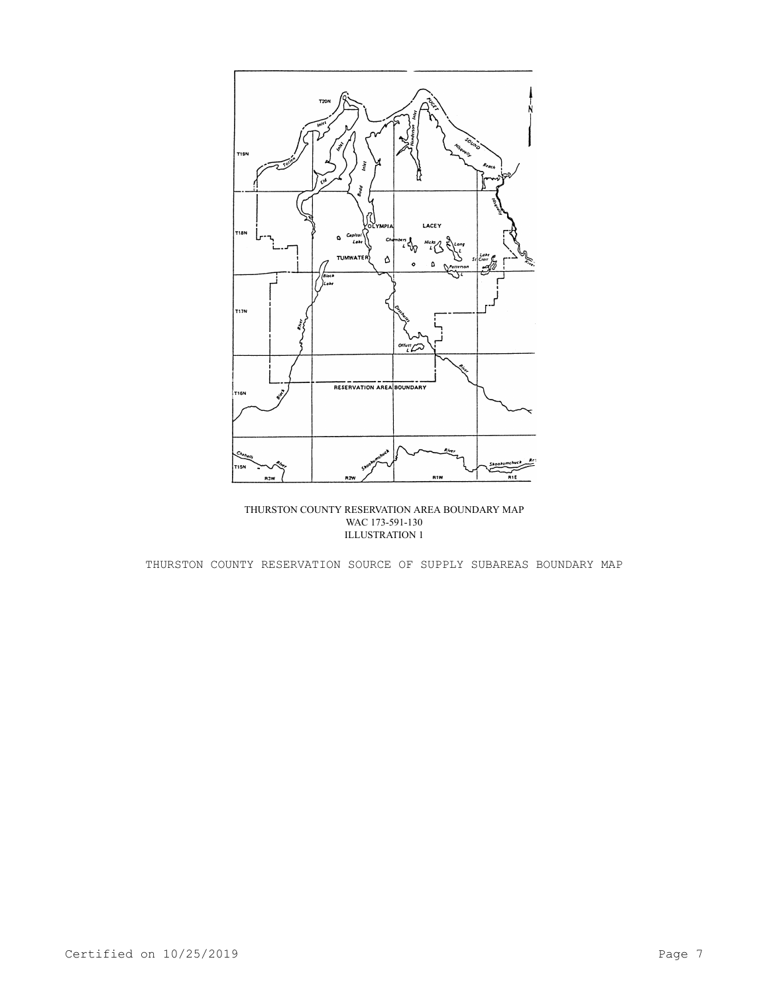

THURSTON COUNTY RESERVATION AREA BOUNDARY MAP WAC 173-591-130 ILLUSTRATION 1

THURSTON COUNTY RESERVATION SOURCE OF SUPPLY SUBAREAS BOUNDARY MAP